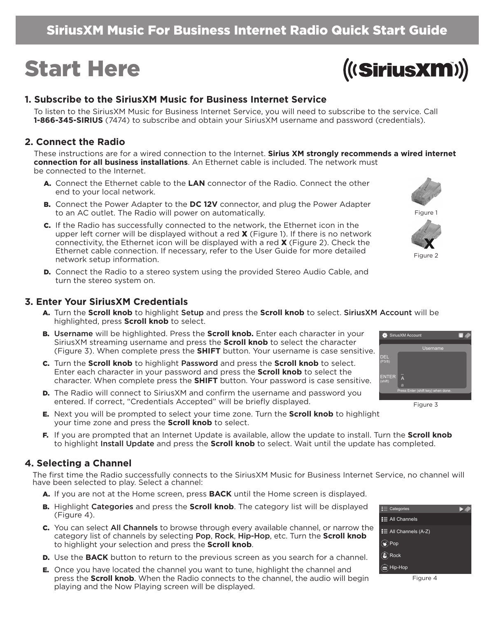# SiriusXM Music For Business Internet Radio Quick Start Guide

# Start Here

### **1. Subscribe to the SiriusXM Music for Business Internet Service**

To listen to the SiriusXM Music for Business Internet Service, you will need to subscribe to the service. Call **1-866-345-SIRIUS** (7474) to subscribe and obtain your SiriusXM username and password (credentials).

#### **2. Connect the Radio**

These instructions are for a wired connection to the Internet. **Sirius XM strongly recommends a wired internet connection for all business installations**. An Ethernet cable is included. The network must be connected to the Internet.

- A. Connect the Ethernet cable to the **LAN** connector of the Radio. Connect the other end to your local network.
- B. Connect the Power Adapter to the **DC 12V** connector, and plug the Power Adapter to an AC outlet. The Radio will power on automatically.
- C. If the Radio has successfully connected to the network, the Ethernet icon in the upper left corner will be displayed without a red  $\boldsymbol{X}$  (Figure 1). If there is no network connectivity, the Ethernet icon will be displayed with a red  $\boldsymbol{X}$  (Figure 2). Check the Ethernet cable connection. If necessary, refer to the User Guide for more detailed network setup information.
- D. Connect the Radio to a stereo system using the provided Stereo Audio Cable, and turn the stereo system on.

#### **3. Enter Your SiriusXM Credentials**

- A. Turn the **Scroll knob** to highlight Setup and press the **Scroll knob** to select. SiriusXM Account will be highlighted, press **Scroll knob** to select.
- B. Username will be highlighted. Press the **Scroll knob.** Enter each character in your SiriusXM streaming username and press the **Scroll knob** to select the character (Figure 3). When complete press the **SHIFT** button. Your username is case sensitive.
- C. Turn the **Scroll knob** to highlight Password and press the **Scroll knob** to select. Enter each character in your password and press the **Scroll knob** to select the character. When complete press the **SHIFT** button. Your password is case sensitive.
- D. The Radio will connect to SiriusXM and confirm the username and password you entered. If correct, "Credentials Accepted" will be briefly displayed.
- E. Next you will be prompted to select your time zone. Turn the **Scroll knob** to highlight your time zone and press the **Scroll knob** to select.
- F. If you are prompted that an Internet Update is available, allow the update to install. Turn the **Scroll knob** to highlight Install Update and press the **Scroll knob** to select. Wait until the update has completed.

#### **4. Selecting a Channel**

The first time the Radio successfully connects to the SiriusXM Music for Business Internet Service, no channel will have been selected to play. Select a channel:

- A. If you are not at the Home screen, press **BACK** until the Home screen is displayed.
- B. Highlight Categories and press the **Scroll knob**. The category list will be displayed (Figure 4).
- C. You can select All Channels to browse through every available channel, or narrow the category list of channels by selecting Pop, Rock, Hip-Hop, etc. Turn the **Scroll knob** to highlight your selection and press the **Scroll knob**.
- **D.** Use the **BACK** button to return to the previous screen as you search for a channel.
- E. Once you have located the channel you want to tune, highlight the channel and press the **Scroll knob**. When the Radio connects to the channel, the audio will begin playing and the Now Playing screen will be displayed.



ПZ

SiriusXM Account

| $\equiv$ Categories<br>Ħ |  |
|--------------------------|--|
| $\equiv$ All Channels    |  |
| All Channels (A-Z)       |  |
| op                       |  |
| Rock                     |  |
| Hip-Hop<br>$\equiv$      |  |
| ٠                        |  |



 $((Sirius**Xm**))$